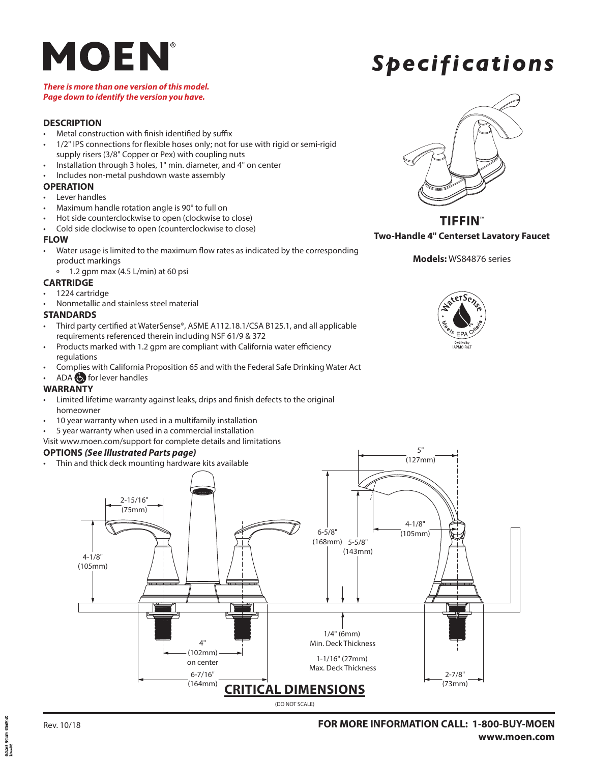## *Specifications*

### *There is more than one version of this model. Page down to identify the version you have.*

### **DESCRIPTION**

- Metal construction with finish identified by suffix
- 1/2" IPS connections for flexible hoses only; not for use with rigid or semi-rigid supply risers (3/8" Copper or Pex) with coupling nuts
- Installation through 3 holes, 1" min. diameter, and 4" on center
- Includes non-metal pushdown waste assembly

### **OPERATION**

- Lever handles
- Maximum handle rotation angle is 90° to full on
- Hot side counterclockwise to open (clockwise to close)
- Cold side clockwise to open (counterclockwise to close)

### **FLOW**

- Water usage is limited to the maximum flow rates as indicated by the corresponding product markings
	- º 1.2 gpm max (4.5 L/min) at 60 psi

### **CARTRIDGE**

- 1224 cartridge
- Nonmetallic and stainless steel material

### **STANDARDS**

- Third party certified at WaterSense®, ASME A112.18.1/CSA B125.1, and all applicable requirements referenced therein including NSF 61/9 & 372
- Products marked with 1.2 gpm are compliant with California water efficiency regulations
- Complies with California Proposition 65 and with the Federal Safe Drinking Water Act
- ADA **b** for lever handles

### **WARRANTY**

- Limited lifetime warranty against leaks, drips and finish defects to the original homeowner
- 10 year warranty when used in a multifamily installation
- 5 year warranty when used in a commercial installation
- Visit www.moen.com/support for complete details and limitations

### **OPTIONS** *(See Illustrated Parts page)*

• Thin and thick deck mounting hardware kits available



### **TIFFIN™ Two-Handle 4" Centerset Lavatory Faucet**

### **Models:** WS84876 series



5"



PC1459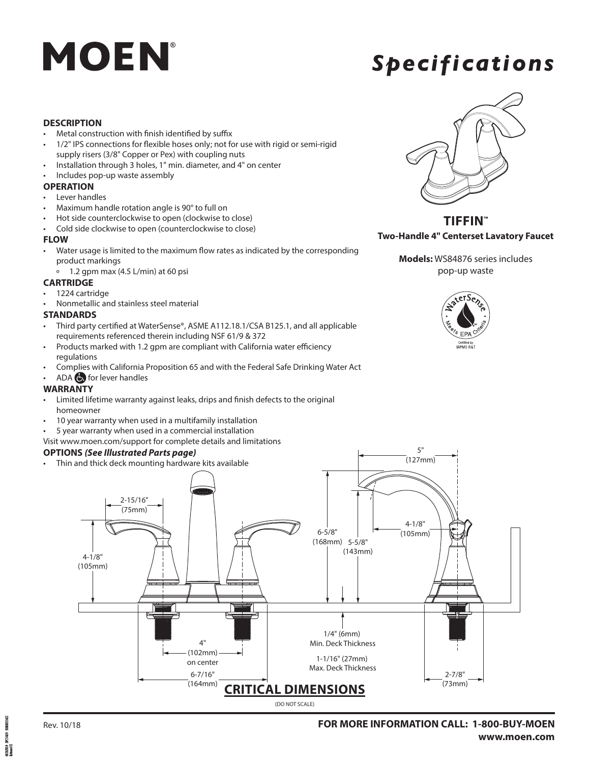## *Specifications*

### **DESCRIPTION**

- Metal construction with finish identified by suffix
- 1/2" IPS connections for flexible hoses only; not for use with rigid or semi-rigid supply risers (3/8" Copper or Pex) with coupling nuts
- Installation through 3 holes, 1" min. diameter, and 4" on center
- Includes pop-up waste assembly

### **OPERATION**

- Lever handles
- Maximum handle rotation angle is 90° to full on
- Hot side counterclockwise to open (clockwise to close)
- Cold side clockwise to open (counterclockwise to close)

### **FLOW**

- Water usage is limited to the maximum flow rates as indicated by the corresponding product markings
	- º 1.2 gpm max (4.5 L/min) at 60 psi

### **CARTRIDGE**

- 1224 cartridge
- Nonmetallic and stainless steel material

### **STANDARDS**

- Third party certified at WaterSense®, ASME A112.18.1/CSA B125.1, and all applicable requirements referenced therein including NSF 61/9 & 372
- Products marked with 1.2 gpm are compliant with California water efficiency regulations
- Complies with California Proposition 65 and with the Federal Safe Drinking Water Act
- ADA  $\bigodot$  for lever handles

### **WARRANTY**

- Limited lifetime warranty against leaks, drips and finish defects to the original homeowner
- 10 year warranty when used in a multifamily installation
- 5 year warranty when used in a commercial installation
- Visit www.moen.com/support for complete details and limitations

### **OPTIONS** *(See Illustrated Parts page)*

• Thin and thick deck mounting hardware kits available



**TIFFIN™ Two-Handle 4" Centerset Lavatory Faucet**







PC1459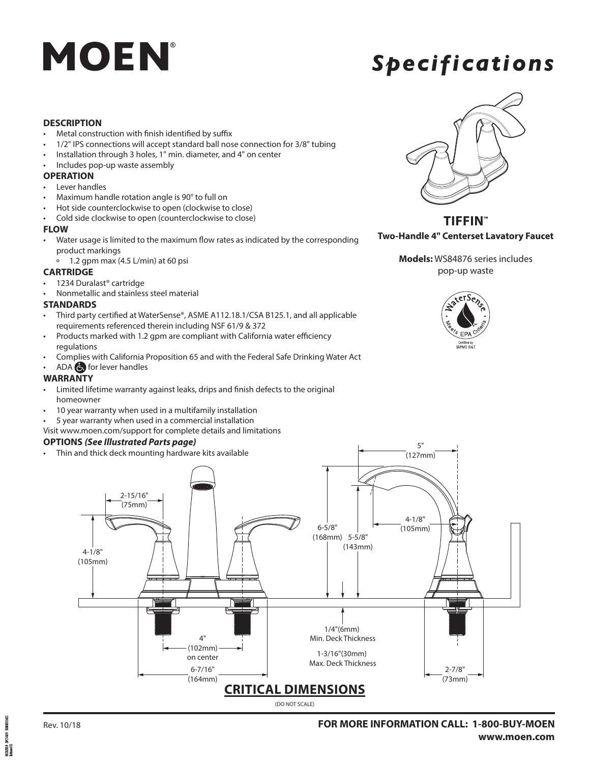## *Specifications*

### **DESCRIPTION**

- Metal construction with finish identified by suffix
- 1/2" IPS connections will accept standard ball nose connection for 3/8" tubing
- Installation through 3 holes, 1" min. diameter, and 4" on center
- Includes pop-up waste assembly

### **OPERATION**

- Lever handles
- Maximum handle rotation angle is 90° to full on
- Hot side counterclockwise to open (clockwise to close)
- Cold side clockwise to open (counterclockwise to close)

### **FLOW**

- Water usage is limited to the maximum flow rates as indicated by the corresponding product markings
	- º 1.2 gpm max (4.5 L/min) at 60 psi

### **CARTRIDGE**

- 1234 Duralast® cartridge
- Nonmetallic and stainless steel material

### **STANDARDS**

- Third party certified at WaterSense®, ASME A112.18.1/CSA B125.1, and all applicable requirements referenced therein including NSF 61/9 & 372
- Products marked with 1.2 gpm are compliant with California water efficiency regulations
- Complies with California Proposition 65 and with the Federal Safe Drinking Water Act

### • ADA for lever handles

### **WARRANTY**

- Limited lifetime warranty against leaks, drips and finish defects to the original homeowner
- 10 year warranty when used in a multifamily installation
- 5 year warranty when used in a commercial installation

### Visit www.moen.com/support for complete details and limitations

### **OPTIONS** *(See Illustrated Parts page)*

• Thin and thick deck mounting hardware kits available



**TIFFIN™ Two-Handle 4" Centerset Lavatory Faucet**

**Models:** WS84876 series includes pop-up waste





500003562 PC1459 00000010<br>2.1kated 02